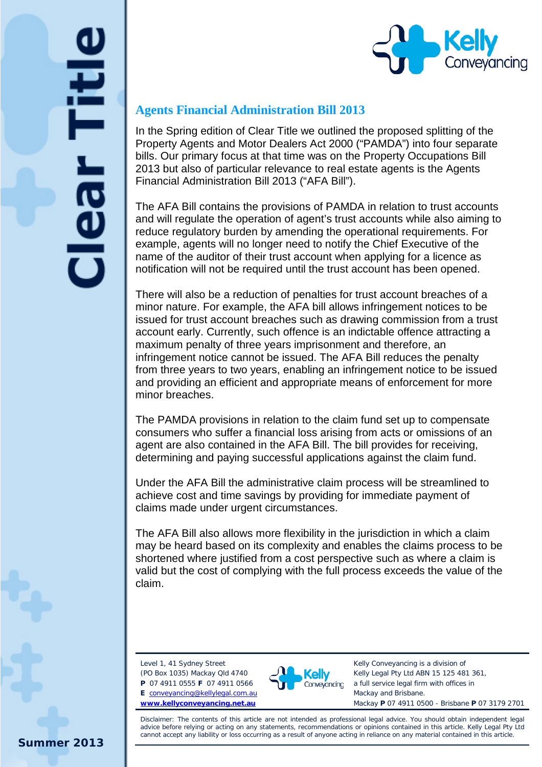



## **Agents Financial Administration Bill 2013**

In the Spring edition of Clear Title we outlined the proposed splitting of the Property Agents and Motor Dealers Act 2000 ("PAMDA") into four separate bills. Our primary focus at that time was on the Property Occupations Bill 2013 but also of particular relevance to real estate agents is the Agents Financial Administration Bill 2013 ("AFA Bill").

The AFA Bill contains the provisions of PAMDA in relation to trust accounts and will regulate the operation of agent's trust accounts while also aiming to reduce regulatory burden by amending the operational requirements. For example, agents will no longer need to notify the Chief Executive of the name of the auditor of their trust account when applying for a licence as notification will not be required until the trust account has been opened.

There will also be a reduction of penalties for trust account breaches of a minor nature. For example, the AFA bill allows infringement notices to be issued for trust account breaches such as drawing commission from a trust account early. Currently, such offence is an indictable offence attracting a maximum penalty of three years imprisonment and therefore, an infringement notice cannot be issued. The AFA Bill reduces the penalty from three years to two years, enabling an infringement notice to be issued and providing an efficient and appropriate means of enforcement for more minor breaches.

The PAMDA provisions in relation to the claim fund set up to compensate consumers who suffer a financial loss arising from acts or omissions of an agent are also contained in the AFA Bill. The bill provides for receiving, determining and paying successful applications against the claim fund.

Under the AFA Bill the administrative claim process will be streamlined to achieve cost and time savings by providing for immediate payment of claims made under urgent circumstances.

The AFA Bill also allows more flexibility in the jurisdiction in which a claim may be heard based on its complexity and enables the claims process to be shortened where justified from a cost perspective such as where a claim is valid but the cost of complying with the full process exceeds the value of the claim.

Level 1, 41 Sydney Street (PO Box 1035) Mackay Qld 4740

**P** 07 4911 0555 **F** 07 4911 0566 **E** [conveyancing@kellylegal.com.au](mailto:conveyancing@kellylegal.com.au) **[www.kellyconveyancing.net.au](http://www.kellyconveyancing.net.au/)**



Kelly Conveyancing is a division of Kelly Legal Pty Ltd ABN 15 125 481 361, a full service legal firm with offices in Mackay and Brisbane. Mackay **P** 07 4911 0500 - Brisbane **P** 07 3179 2701

Disclaimer: The contents of this article are not intended as professional legal advice. You should obtain independent legal advice before relying or acting on any statements, recommendations or opinions contained in this article. Kelly Legal Pty Ltd cannot accept any liability or loss occurring as a result of anyone acting in reliance on any material contained in this article.